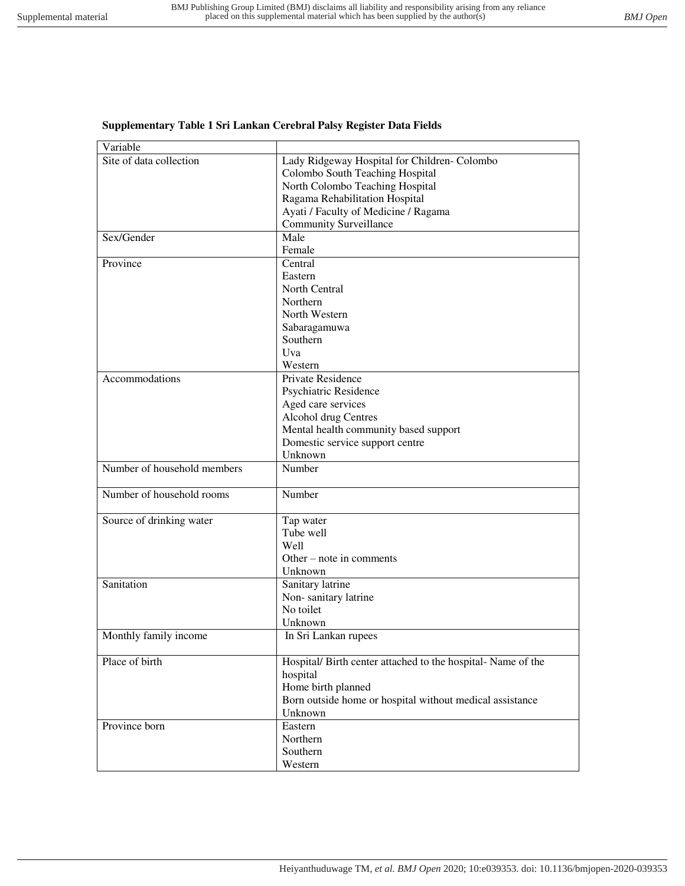## **Supplementary Table 1 Sri Lankan Cerebral Palsy Register Data Fields**

| Variable                    |                                                              |
|-----------------------------|--------------------------------------------------------------|
| Site of data collection     | Lady Ridgeway Hospital for Children- Colombo                 |
|                             | Colombo South Teaching Hospital                              |
|                             | North Colombo Teaching Hospital                              |
|                             | Ragama Rehabilitation Hospital                               |
|                             | Ayati / Faculty of Medicine / Ragama                         |
|                             | <b>Community Surveillance</b>                                |
| Sex/Gender                  | Male                                                         |
|                             | Female                                                       |
| Province                    | Central                                                      |
|                             | Eastern                                                      |
|                             | North Central                                                |
|                             | Northern                                                     |
|                             | North Western                                                |
|                             | Sabaragamuwa                                                 |
|                             | Southern                                                     |
|                             | Uva                                                          |
|                             | Western                                                      |
| Accommodations              | Private Residence                                            |
|                             | Psychiatric Residence                                        |
|                             | Aged care services                                           |
|                             | Alcohol drug Centres                                         |
|                             | Mental health community based support                        |
|                             | Domestic service support centre                              |
|                             | Unknown                                                      |
| Number of household members | Number                                                       |
| Number of household rooms   | Number                                                       |
| Source of drinking water    | Tap water                                                    |
|                             | Tube well                                                    |
|                             | Well                                                         |
|                             | Other – note in comments                                     |
|                             | Unknown                                                      |
| Sanitation                  | Sanitary latrine                                             |
|                             | Non-sanitary latrine                                         |
|                             | No toilet                                                    |
|                             | Unknown                                                      |
| Monthly family income       | In Sri Lankan rupees                                         |
| Place of birth              | Hospital/ Birth center attached to the hospital- Name of the |
|                             | hospital                                                     |
|                             | Home birth planned                                           |
|                             | Born outside home or hospital without medical assistance     |
|                             | Unknown                                                      |
| Province born               | Eastern                                                      |
|                             |                                                              |
|                             | Northern                                                     |
|                             | Southern                                                     |
|                             | Western                                                      |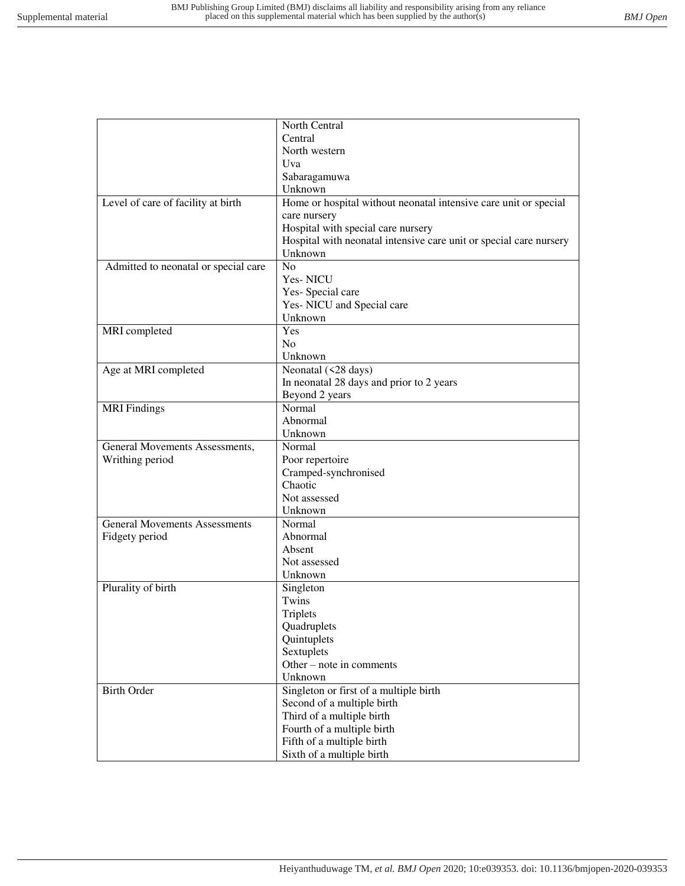|                                      | North Central                                                      |
|--------------------------------------|--------------------------------------------------------------------|
|                                      | Central                                                            |
|                                      | North western                                                      |
|                                      | Uva                                                                |
|                                      | Sabaragamuwa                                                       |
|                                      | Unknown                                                            |
| Level of care of facility at birth   | Home or hospital without neonatal intensive care unit or special   |
|                                      | care nursery                                                       |
|                                      | Hospital with special care nursery                                 |
|                                      | Hospital with neonatal intensive care unit or special care nursery |
|                                      | Unknown                                                            |
| Admitted to neonatal or special care | N <sub>o</sub>                                                     |
|                                      | Yes-NICU                                                           |
|                                      | Yes-Special care                                                   |
|                                      | Yes-NICU and Special care                                          |
|                                      | Unknown                                                            |
| MRI completed                        | Yes                                                                |
|                                      | No                                                                 |
|                                      | Unknown                                                            |
| Age at MRI completed                 | Neonatal (<28 days)                                                |
|                                      | In neonatal 28 days and prior to 2 years                           |
|                                      | Beyond 2 years                                                     |
| <b>MRI</b> Findings                  | Normal                                                             |
|                                      | Abnormal                                                           |
|                                      | Unknown                                                            |
| General Movements Assessments,       | Normal                                                             |
| Writhing period                      | Poor repertoire                                                    |
|                                      | Cramped-synchronised                                               |
|                                      | Chaotic                                                            |
|                                      | Not assessed                                                       |
|                                      | Unknown                                                            |
| <b>General Movements Assessments</b> | Normal                                                             |
| Fidgety period                       | Abnormal                                                           |
|                                      | Absent                                                             |
|                                      | Not assessed                                                       |
|                                      | Unknown                                                            |
| Plurality of birth                   | Singleton                                                          |
|                                      | Twins                                                              |
|                                      | Triplets                                                           |
|                                      | Quadruplets                                                        |
|                                      | Quintuplets                                                        |
|                                      | Sextuplets                                                         |
|                                      | Other – note in comments                                           |
|                                      | Unknown                                                            |
| <b>Birth Order</b>                   | Singleton or first of a multiple birth                             |
|                                      | Second of a multiple birth                                         |
|                                      | Third of a multiple birth                                          |
|                                      | Fourth of a multiple birth                                         |
|                                      | Fifth of a multiple birth                                          |
|                                      | Sixth of a multiple birth                                          |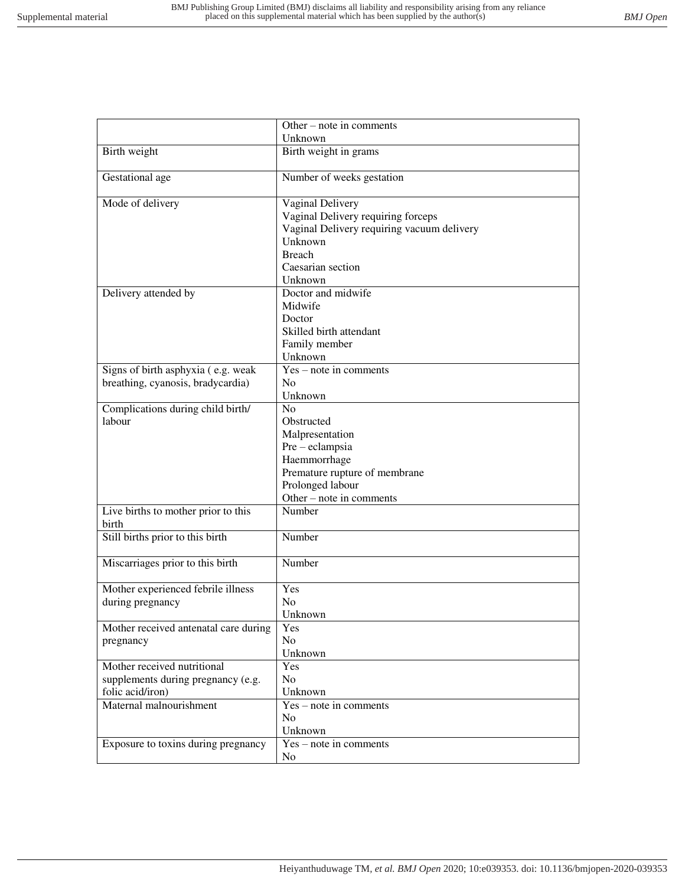|                                       | Other – note in comments                   |
|---------------------------------------|--------------------------------------------|
|                                       | Unknown                                    |
| Birth weight                          | Birth weight in grams                      |
| Gestational age                       | Number of weeks gestation                  |
| Mode of delivery                      | Vaginal Delivery                           |
|                                       | Vaginal Delivery requiring forceps         |
|                                       | Vaginal Delivery requiring vacuum delivery |
|                                       | Unknown                                    |
|                                       | <b>Breach</b>                              |
|                                       | Caesarian section                          |
|                                       | Unknown                                    |
| Delivery attended by                  | Doctor and midwife                         |
|                                       | Midwife                                    |
|                                       | Doctor                                     |
|                                       | Skilled birth attendant                    |
|                                       | Family member                              |
|                                       | Unknown                                    |
| Signs of birth asphyxia (e.g. weak    | $Yes - note in comments$                   |
| breathing, cyanosis, bradycardia)     | N <sub>0</sub>                             |
|                                       | Unknown                                    |
| Complications during child birth/     | No                                         |
| labour                                | Obstructed                                 |
|                                       | Malpresentation                            |
|                                       | Pre - eclampsia                            |
|                                       | Haemmorrhage                               |
|                                       | Premature rupture of membrane              |
|                                       | Prolonged labour                           |
|                                       | Other – note in comments                   |
| Live births to mother prior to this   | Number                                     |
| birth                                 |                                            |
| Still births prior to this birth      | Number                                     |
| Miscarriages prior to this birth      | Number                                     |
| Mother experienced febrile illness    | Yes                                        |
| during pregnancy                      | N <sub>o</sub>                             |
|                                       | Unknown                                    |
| Mother received antenatal care during | Yes                                        |
| pregnancy                             | N <sub>o</sub>                             |
|                                       | Unknown                                    |
| Mother received nutritional           | Yes                                        |
| supplements during pregnancy (e.g.    | N <sub>o</sub>                             |
| folic acid/iron)                      | Unknown                                    |
| Maternal malnourishment               | Yes – note in comments                     |
|                                       | N <sub>o</sub>                             |
|                                       | Unknown                                    |
| Exposure to toxins during pregnancy   | $Yes$ – note in comments                   |
|                                       | N <sub>o</sub>                             |
|                                       |                                            |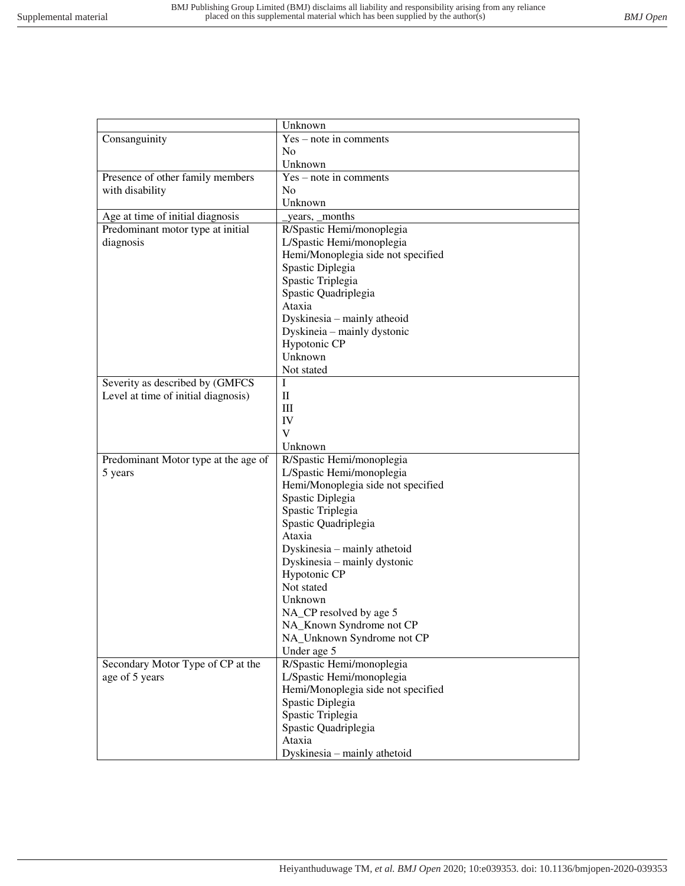|                                      | Unknown                            |
|--------------------------------------|------------------------------------|
| Consanguinity                        | Yes - note in comments             |
|                                      | N <sub>0</sub>                     |
|                                      | Unknown                            |
| Presence of other family members     | $Yes - note in comments$           |
| with disability                      | N <sub>0</sub>                     |
|                                      | Unknown                            |
| Age at time of initial diagnosis     | years, _months                     |
| Predominant motor type at initial    | R/Spastic Hemi/monoplegia          |
| diagnosis                            | L/Spastic Hemi/monoplegia          |
|                                      | Hemi/Monoplegia side not specified |
|                                      | Spastic Diplegia                   |
|                                      | Spastic Triplegia                  |
|                                      | Spastic Quadriplegia               |
|                                      | Ataxia                             |
|                                      | Dyskinesia - mainly atheoid        |
|                                      | Dyskineia - mainly dystonic        |
|                                      | Hypotonic CP                       |
|                                      | Unknown                            |
|                                      | Not stated                         |
| Severity as described by (GMFCS      | I                                  |
| Level at time of initial diagnosis)  | $\mathbf{I}$                       |
|                                      | Ш                                  |
|                                      | IV                                 |
|                                      | V                                  |
|                                      | Unknown                            |
| Predominant Motor type at the age of | R/Spastic Hemi/monoplegia          |
| 5 years                              | L/Spastic Hemi/monoplegia          |
|                                      | Hemi/Monoplegia side not specified |
|                                      | Spastic Diplegia                   |
|                                      | Spastic Triplegia                  |
|                                      | Spastic Quadriplegia               |
|                                      | Ataxia                             |
|                                      | Dyskinesia - mainly athetoid       |
|                                      | Dyskinesia - mainly dystonic       |
|                                      | Hypotonic CP                       |
|                                      | Not stated                         |
|                                      | Unknown                            |
|                                      | NA_CP resolved by age 5            |
|                                      | NA_Known Syndrome not CP           |
|                                      | NA_Unknown Syndrome not CP         |
|                                      | Under age 5                        |
| Secondary Motor Type of CP at the    | R/Spastic Hemi/monoplegia          |
| age of 5 years                       | L/Spastic Hemi/monoplegia          |
|                                      | Hemi/Monoplegia side not specified |
|                                      | Spastic Diplegia                   |
|                                      | Spastic Triplegia                  |
|                                      | Spastic Quadriplegia               |
|                                      | Ataxia                             |
|                                      |                                    |
|                                      | Dyskinesia - mainly athetoid       |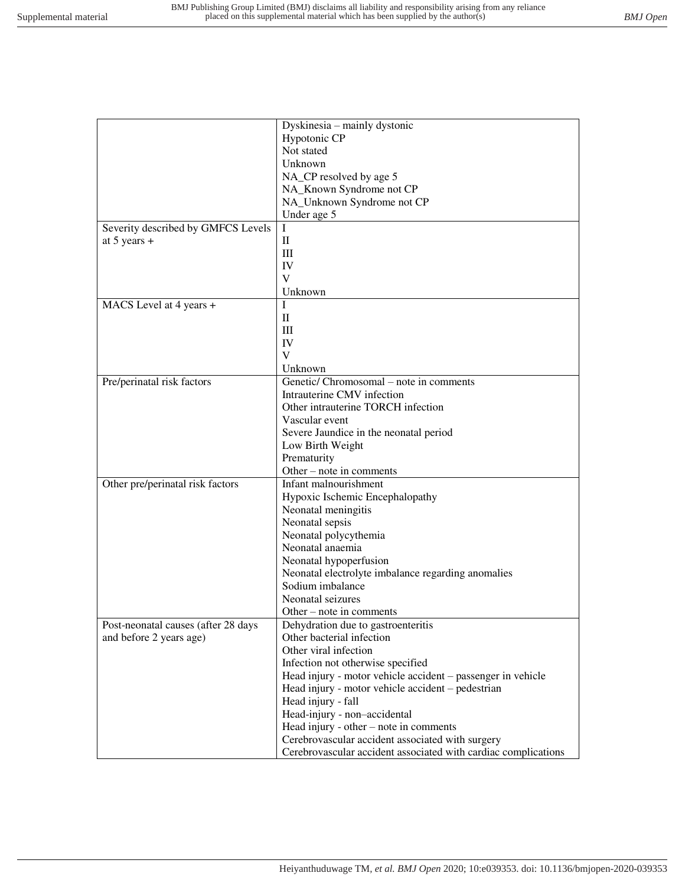|                                     | Dyskinesia - mainly dystonic                                   |
|-------------------------------------|----------------------------------------------------------------|
|                                     | Hypotonic CP                                                   |
|                                     | Not stated                                                     |
|                                     | Unknown                                                        |
|                                     | NA_CP resolved by age 5                                        |
|                                     | NA_Known Syndrome not CP                                       |
|                                     | NA_Unknown Syndrome not CP                                     |
|                                     | Under age 5                                                    |
| Severity described by GMFCS Levels  | I                                                              |
|                                     | $\mathbf{I}$                                                   |
| at 5 years $+$                      | Ш                                                              |
|                                     | IV                                                             |
|                                     | V                                                              |
|                                     |                                                                |
|                                     | Unknown                                                        |
| MACS Level at 4 years +             | L                                                              |
|                                     | $\mathbf{I}$                                                   |
|                                     | Ш                                                              |
|                                     | IV                                                             |
|                                     | V                                                              |
|                                     | Unknown                                                        |
| Pre/perinatal risk factors          | Genetic/ Chromosomal – note in comments                        |
|                                     | Intrauterine CMV infection                                     |
|                                     | Other intrauterine TORCH infection                             |
|                                     | Vascular event                                                 |
|                                     | Severe Jaundice in the neonatal period                         |
|                                     | Low Birth Weight                                               |
|                                     | Prematurity                                                    |
|                                     | Other – note in comments                                       |
| Other pre/perinatal risk factors    | Infant malnourishment                                          |
|                                     | Hypoxic Ischemic Encephalopathy                                |
|                                     | Neonatal meningitis                                            |
|                                     | Neonatal sepsis                                                |
|                                     | Neonatal polycythemia                                          |
|                                     | Neonatal anaemia                                               |
|                                     | Neonatal hypoperfusion                                         |
|                                     | Neonatal electrolyte imbalance regarding anomalies             |
|                                     | Sodium imbalance                                               |
|                                     | Neonatal seizures                                              |
|                                     | Other – note in comments                                       |
| Post-neonatal causes (after 28 days | Dehydration due to gastroenteritis                             |
| and before 2 years age)             | Other bacterial infection                                      |
|                                     | Other viral infection                                          |
|                                     | Infection not otherwise specified                              |
|                                     | Head injury - motor vehicle accident – passenger in vehicle    |
|                                     | Head injury - motor vehicle accident - pedestrian              |
|                                     | Head injury - fall                                             |
|                                     | Head-injury - non-accidental                                   |
|                                     | Head injury - other – note in comments                         |
|                                     | Cerebrovascular accident associated with surgery               |
|                                     | Cerebrovascular accident associated with cardiac complications |
|                                     |                                                                |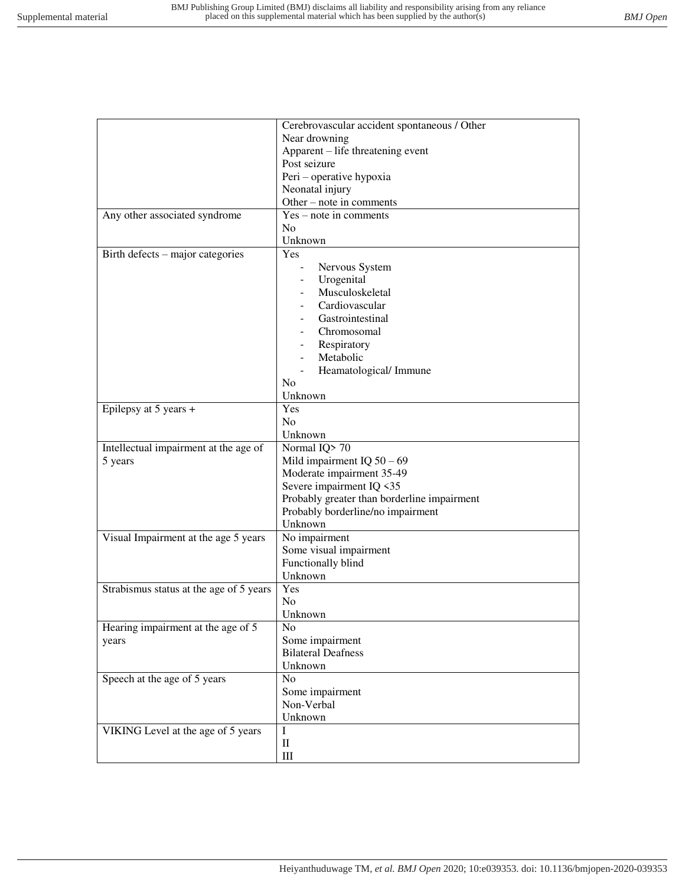|                                         | Cerebrovascular accident spontaneous / Other |
|-----------------------------------------|----------------------------------------------|
|                                         | Near drowning                                |
|                                         | Apparent - life threatening event            |
|                                         | Post seizure                                 |
|                                         | Peri - operative hypoxia                     |
|                                         | Neonatal injury                              |
|                                         | Other – note in comments                     |
| Any other associated syndrome           | $Yes - note in comments$                     |
|                                         | No                                           |
|                                         | Unknown                                      |
| Birth defects – major categories        | Yes                                          |
|                                         | Nervous System                               |
|                                         | Urogenital                                   |
|                                         | Musculoskeletal                              |
|                                         | Cardiovascular                               |
|                                         | Gastrointestinal                             |
|                                         | Chromosomal                                  |
|                                         | Respiratory                                  |
|                                         | Metabolic                                    |
|                                         |                                              |
|                                         | Heamatological/Immune<br>N <sub>o</sub>      |
|                                         | Unknown                                      |
|                                         | Yes                                          |
| Epilepsy at 5 years +                   | N <sub>o</sub>                               |
|                                         | Unknown                                      |
| Intellectual impairment at the age of   | Normal IQ>70                                 |
| 5 years                                 | Mild impairment IQ $50 - 69$                 |
|                                         | Moderate impairment 35-49                    |
|                                         | Severe impairment IQ <35                     |
|                                         | Probably greater than borderline impairment  |
|                                         | Probably borderline/no impairment            |
|                                         | Unknown                                      |
| Visual Impairment at the age 5 years    | No impairment                                |
|                                         | Some visual impairment                       |
|                                         | Functionally blind                           |
|                                         | Unknown                                      |
| Strabismus status at the age of 5 years | Yes                                          |
|                                         | N <sub>0</sub>                               |
|                                         | Unknown                                      |
| Hearing impairment at the age of 5      | No                                           |
|                                         | Some impairment                              |
| years                                   | <b>Bilateral Deafness</b>                    |
|                                         | Unknown                                      |
| Speech at the age of 5 years            | N <sub>o</sub>                               |
|                                         | Some impairment                              |
|                                         | Non-Verbal                                   |
|                                         | Unknown                                      |
|                                         | I                                            |
| VIKING Level at the age of 5 years      |                                              |
|                                         | $\mathbf{I}$                                 |
|                                         | $\rm III$                                    |